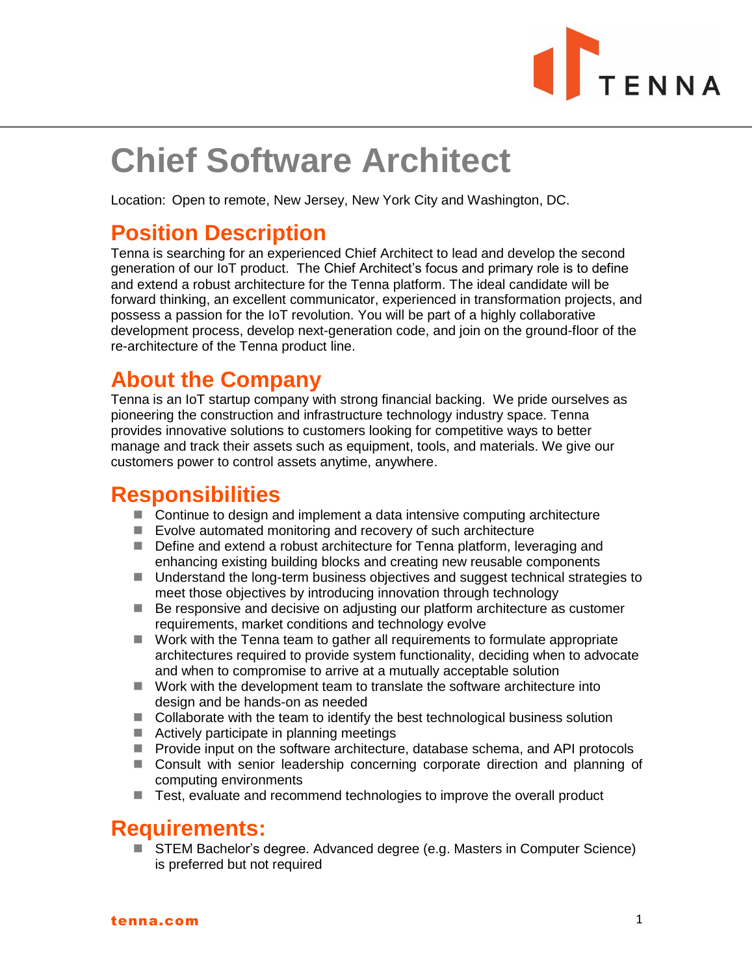

# **Chief Software Architect**

Location: Open to remote, New Jersey, New York City and Washington, DC.

## **Position Description**

Tenna is searching for an experienced Chief Architect to lead and develop the second generation of our IoT product. The Chief Architect's focus and primary role is to define and extend a robust architecture for the Tenna platform. The ideal candidate will be forward thinking, an excellent communicator, experienced in transformation projects, and possess a passion for the IoT revolution. You will be part of a highly collaborative development process, develop next-generation code, and join on the ground-floor of the re-architecture of the Tenna product line.

## **About the Company**

Tenna is an IoT startup company with strong financial backing. We pride ourselves as pioneering the construction and infrastructure technology industry space. Tenna provides innovative solutions to customers looking for competitive ways to better manage and track their assets such as equipment, tools, and materials. We give our customers power to control assets anytime, anywhere.

## **Responsibilities**

- Continue to design and implement a data intensive computing architecture
- Evolve automated monitoring and recovery of such architecture
- Define and extend a robust architecture for Tenna platform, leveraging and enhancing existing building blocks and creating new reusable components
- Understand the long-term business objectives and suggest technical strategies to meet those objectives by introducing innovation through technology
- Be responsive and decisive on adjusting our platform architecture as customer requirements, market conditions and technology evolve
- Work with the Tenna team to gather all requirements to formulate appropriate architectures required to provide system functionality, deciding when to advocate and when to compromise to arrive at a mutually acceptable solution
- Work with the development team to translate the software architecture into design and be hands-on as needed
- Collaborate with the team to identify the best technological business solution
- Actively participate in planning meetings
- Provide input on the software architecture, database schema, and API protocols
- Consult with senior leadership concerning corporate direction and planning of computing environments
- Test, evaluate and recommend technologies to improve the overall product

#### **Requirements:**

■ STEM Bachelor's degree. Advanced degree (e.g. Masters in Computer Science) is preferred but not required